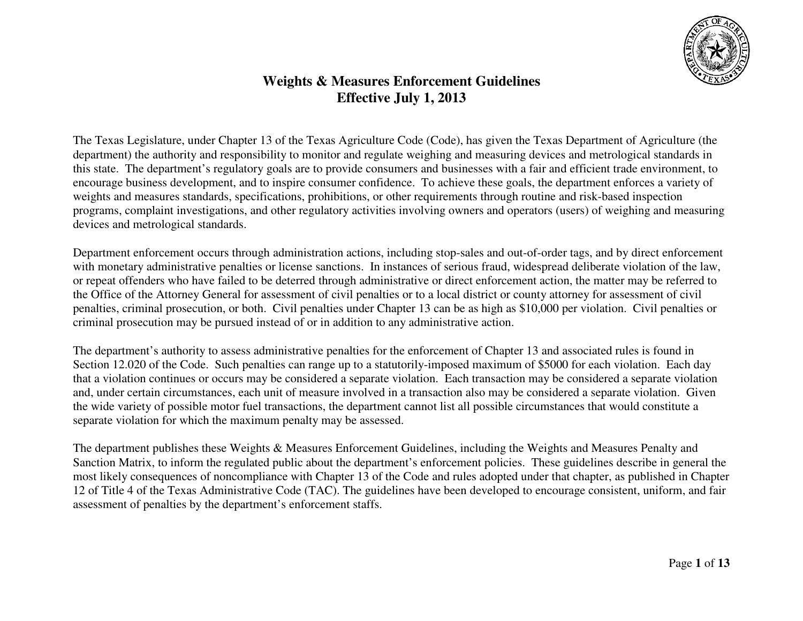

## **Weights & Measures Enforcement Guidelines Effective July 1, 2013**

The Texas Legislature, under Chapter 13 of the Texas Agriculture Code (Code), has given the Texas Department of Agriculture (the department) the authority and responsibility to monitor and regulate weighing and measuring devices and metrological standards in this state. The department's regulatory goals are to provide consumers and businesses with a fair and efficient trade environment, to encourage business development, and to inspire consumer confidence. To achieve these goals, the department enforces a variety of weights and measures standards, specifications, prohibitions, or other requirements through routine and risk-based inspection programs, complaint investigations, and other regulatory activities involving owners and operators (users) of weighing and measuring devices and metrological standards.

Department enforcement occurs through administration actions, including stop-sales and out-of-order tags, and by direct enforcement with monetary administrative penalties or license sanctions. In instances of serious fraud, widespread deliberate violation of the law, or repeat offenders who have failed to be deterred through administrative or direct enforcement action, the matter may be referred to the Office of the Attorney General for assessment of civil penalties or to a local district or county attorney for assessment of civil penalties, criminal prosecution, or both. Civil penalties under Chapter 13 can be as high as \$10,000 per violation. Civil penalties or criminal prosecution may be pursued instead of or in addition to any administrative action.

The department's authority to assess administrative penalties for the enforcement of Chapter 13 and associated rules is found in Section 12.020 of the Code. Such penalties can range up to a statutorily-imposed maximum of \$5000 for each violation. Each day that a violation continues or occurs may be considered a separate violation. Each transaction may be considered a separate violation and, under certain circumstances, each unit of measure involved in a transaction also may be considered a separate violation. Given the wide variety of possible motor fuel transactions, the department cannot list all possible circumstances that would constitute a separate violation for which the maximum penalty may be assessed.

The department publishes these Weights & Measures Enforcement Guidelines, including the Weights and Measures Penalty and Sanction Matrix, to inform the regulated public about the department's enforcement policies. These guidelines describe in general the most likely consequences of noncompliance with Chapter 13 of the Code and rules adopted under that chapter, as published in Chapter 12 of Title 4 of the Texas Administrative Code (TAC). The guidelines have been developed to encourage consistent, uniform, and fair assessment of penalties by the department's enforcement staffs.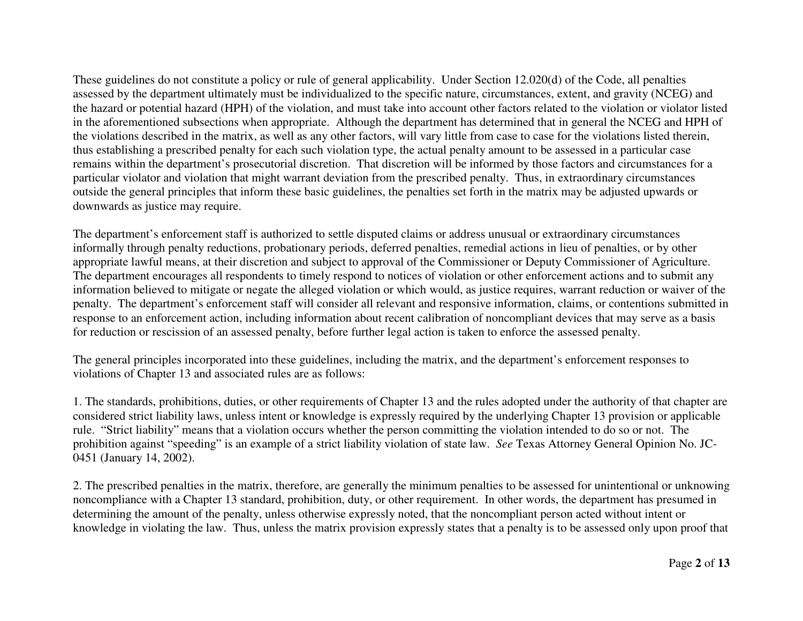These guidelines do not constitute a policy or rule of general applicability. Under Section 12.020(d) of the Code, all penalties assessed by the department ultimately must be individualized to the specific nature, circumstances, extent, and gravity (NCEG) and the hazard or potential hazard (HPH) of the violation, and must take into account other factors related to the violation or violator listed in the aforementioned subsections when appropriate. Although the department has determined that in general the NCEG and HPH of the violations described in the matrix, as well as any other factors, will vary little from case to case for the violations listed therein, thus establishing a prescribed penalty for each such violation type, the actual penalty amount to be assessed in a particular case remains within the department's prosecutorial discretion. That discretion will be informed by those factors and circumstances for a particular violator and violation that might warrant deviation from the prescribed penalty. Thus, in extraordinary circumstances outside the general principles that inform these basic guidelines, the penalties set forth in the matrix may be adjusted upwards or downwards as justice may require.

The department's enforcement staff is authorized to settle disputed claims or address unusual or extraordinary circumstances informally through penalty reductions, probationary periods, deferred penalties, remedial actions in lieu of penalties, or by other appropriate lawful means, at their discretion and subject to approval of the Commissioner or Deputy Commissioner of Agriculture. The department encourages all respondents to timely respond to notices of violation or other enforcement actions and to submit any information believed to mitigate or negate the alleged violation or which would, as justice requires, warrant reduction or waiver of the penalty. The department's enforcement staff will consider all relevant and responsive information, claims, or contentions submitted in response to an enforcement action, including information about recent calibration of noncompliant devices that may serve as a basis for reduction or rescission of an assessed penalty, before further legal action is taken to enforce the assessed penalty.

The general principles incorporated into these guidelines, including the matrix, and the department's enforcement responses to violations of Chapter 13 and associated rules are as follows:

1. The standards, prohibitions, duties, or other requirements of Chapter 13 and the rules adopted under the authority of that chapter are considered strict liability laws, unless intent or knowledge is expressly required by the underlying Chapter 13 provision or applicable rule. "Strict liability" means that a violation occurs whether the person committing the violation intended to do so or not. The prohibition against "speeding" is an example of a strict liability violation of state law. *See* Texas Attorney General Opinion No. JC-0451 (January 14, 2002).

2. The prescribed penalties in the matrix, therefore, are generally the minimum penalties to be assessed for unintentional or unknowing noncompliance with a Chapter 13 standard, prohibition, duty, or other requirement. In other words, the department has presumed in determining the amount of the penalty, unless otherwise expressly noted, that the noncompliant person acted without intent or knowledge in violating the law. Thus, unless the matrix provision expressly states that a penalty is to be assessed only upon proof that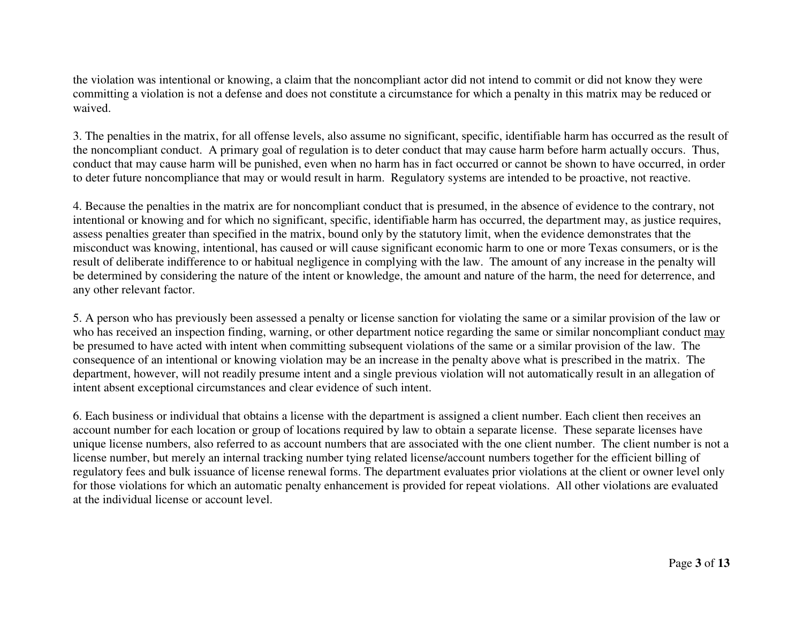the violation was intentional or knowing, a claim that the noncompliant actor did not intend to commit or did not know they were committing a violation is not a defense and does not constitute a circumstance for which a penalty in this matrix may be reduced or waived.

3. The penalties in the matrix, for all offense levels, also assume no significant, specific, identifiable harm has occurred as the result of the noncompliant conduct. A primary goal of regulation is to deter conduct that may cause harm before harm actually occurs. Thus, conduct that may cause harm will be punished, even when no harm has in fact occurred or cannot be shown to have occurred, in order to deter future noncompliance that may or would result in harm. Regulatory systems are intended to be proactive, not reactive.

4. Because the penalties in the matrix are for noncompliant conduct that is presumed, in the absence of evidence to the contrary, not intentional or knowing and for which no significant, specific, identifiable harm has occurred, the department may, as justice requires, assess penalties greater than specified in the matrix, bound only by the statutory limit, when the evidence demonstrates that the misconduct was knowing, intentional, has caused or will cause significant economic harm to one or more Texas consumers, or is the result of deliberate indifference to or habitual negligence in complying with the law. The amount of any increase in the penalty will be determined by considering the nature of the intent or knowledge, the amount and nature of the harm, the need for deterrence, and any other relevant factor.

5. A person who has previously been assessed a penalty or license sanction for violating the same or a similar provision of the law or who has received an inspection finding, warning, or other department notice regarding the same or similar noncompliant conduct may be presumed to have acted with intent when committing subsequent violations of the same or a similar provision of the law. The consequence of an intentional or knowing violation may be an increase in the penalty above what is prescribed in the matrix. The department, however, will not readily presume intent and a single previous violation will not automatically result in an allegation of intent absent exceptional circumstances and clear evidence of such intent.

6. Each business or individual that obtains a license with the department is assigned a client number. Each client then receives an account number for each location or group of locations required by law to obtain a separate license. These separate licenses have unique license numbers, also referred to as account numbers that are associated with the one client number. The client number is not a license number, but merely an internal tracking number tying related license/account numbers together for the efficient billing of regulatory fees and bulk issuance of license renewal forms. The department evaluates prior violations at the client or owner level only for those violations for which an automatic penalty enhancement is provided for repeat violations. All other violations are evaluated at the individual license or account level.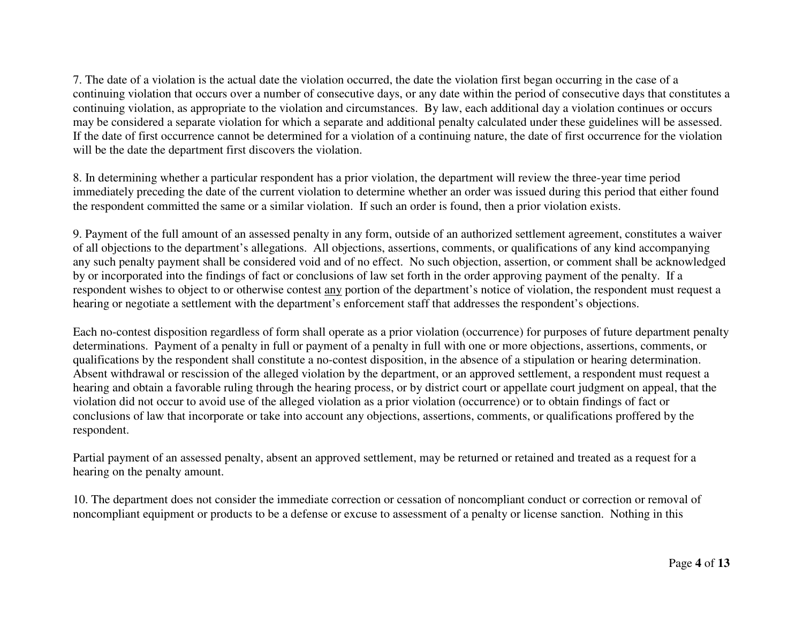7. The date of a violation is the actual date the violation occurred, the date the violation first began occurring in the case of a continuing violation that occurs over a number of consecutive days, or any date within the period of consecutive days that constitutes a continuing violation, as appropriate to the violation and circumstances. By law, each additional day a violation continues or occurs may be considered a separate violation for which a separate and additional penalty calculated under these guidelines will be assessed. If the date of first occurrence cannot be determined for a violation of a continuing nature, the date of first occurrence for the violation will be the date the department first discovers the violation.

8. In determining whether a particular respondent has a prior violation, the department will review the three-year time period immediately preceding the date of the current violation to determine whether an order was issued during this period that either found the respondent committed the same or a similar violation. If such an order is found, then a prior violation exists.

9. Payment of the full amount of an assessed penalty in any form, outside of an authorized settlement agreement, constitutes a waiver of all objections to the department's allegations. All objections, assertions, comments, or qualifications of any kind accompanying any such penalty payment shall be considered void and of no effect. No such objection, assertion, or comment shall be acknowledged by or incorporated into the findings of fact or conclusions of law set forth in the order approving payment of the penalty. If a respondent wishes to object to or otherwise contest any portion of the department's notice of violation, the respondent must request a hearing or negotiate a settlement with the department's enforcement staff that addresses the respondent's objections.

Each no-contest disposition regardless of form shall operate as a prior violation (occurrence) for purposes of future department penalty determinations. Payment of a penalty in full or payment of a penalty in full with one or more objections, assertions, comments, or qualifications by the respondent shall constitute a no-contest disposition, in the absence of a stipulation or hearing determination. Absent withdrawal or rescission of the alleged violation by the department, or an approved settlement, a respondent must request a hearing and obtain a favorable ruling through the hearing process, or by district court or appellate court judgment on appeal, that the violation did not occur to avoid use of the alleged violation as a prior violation (occurrence) or to obtain findings of fact or conclusions of law that incorporate or take into account any objections, assertions, comments, or qualifications proffered by the respondent.

Partial payment of an assessed penalty, absent an approved settlement, may be returned or retained and treated as a request for a hearing on the penalty amount.

10. The department does not consider the immediate correction or cessation of noncompliant conduct or correction or removal of noncompliant equipment or products to be a defense or excuse to assessment of a penalty or license sanction. Nothing in this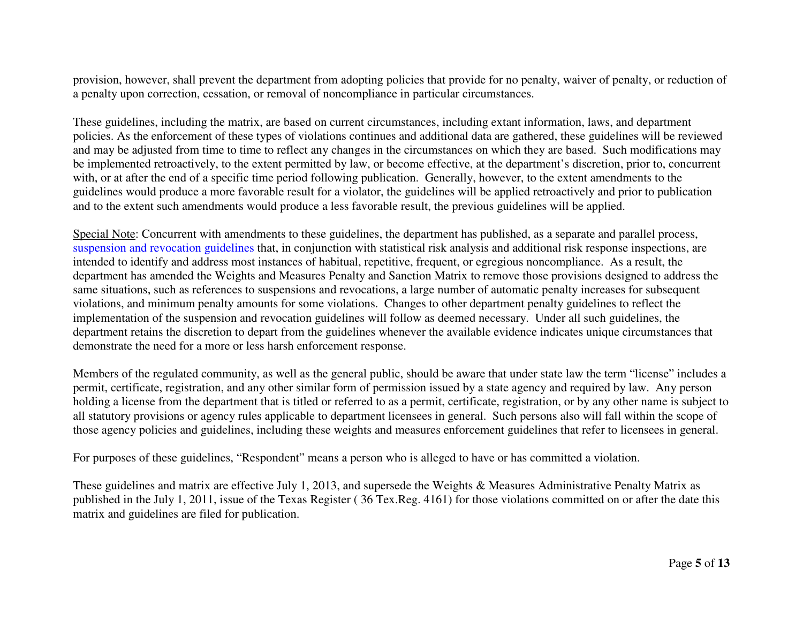provision, however, shall prevent the department from adopting policies that provide for no penalty, waiver of penalty, or reduction of a penalty upon correction, cessation, or removal of noncompliance in particular circumstances.

These guidelines, including the matrix, are based on current circumstances, including extant information, laws, and department policies. As the enforcement of these types of violations continues and additional data are gathered, these guidelines will be reviewed and may be adjusted from time to time to reflect any changes in the circumstances on which they are based. Such modifications may be implemented retroactively, to the extent permitted by law, or become effective, at the department's discretion, prior to, concurrent with, or at after the end of a specific time period following publication. Generally, however, to the extent amendments to the guidelines would produce a more favorable result for a violator, the guidelines will be applied retroactively and prior to publication and to the extent such amendments would produce a less favorable result, the previous guidelines will be applied.

Special Note: Concurrent with amendments to these guidelines, the department has published, as a separate and parallel process, suspens[ion and revocation guidelines](https://www.texasagriculture.gov/Portals/0/Publications/REG/Weights/License%20Suspension%20and%20Revocation%20Guidelines.pdf) that, in conjunction with statistical risk analysis and additional risk response inspections, are intended to identify and address most instances of habitual, repetitive, frequent, or egregious noncompliance. As a result, the department has amended the Weights and Measures Penalty and Sanction Matrix to remove those provisions designed to address the same situations, such as references to suspensions and revocations, a large number of automatic penalty increases for subsequent violations, and minimum penalty amounts for some violations. Changes to other department penalty guidelines to reflect the implementation of the suspension and revocation guidelines will follow as deemed necessary. Under all such guidelines, the department retains the discretion to depart from the guidelines whenever the available evidence indicates unique circumstances that demonstrate the need for a more or less harsh enforcement response.

Members of the regulated community, as well as the general public, should be aware that under state law the term "license" includes a permit, certificate, registration, and any other similar form of permission issued by a state agency and required by law. Any person holding a license from the department that is titled or referred to as a permit, certificate, registration, or by any other name is subject to all statutory provisions or agency rules applicable to department licensees in general. Such persons also will fall within the scope of those agency policies and guidelines, including these weights and measures enforcement guidelines that refer to licensees in general.

For purposes of these guidelines, "Respondent" means a person who is alleged to have or has committed a violation.

These guidelines and matrix are effective July 1, 2013, and supersede the Weights & Measures Administrative Penalty Matrix as published in the July 1, 2011, issue of the Texas Register ( 36 Tex.Reg. 4161) for those violations committed on or after the date this matrix and guidelines are filed for publication.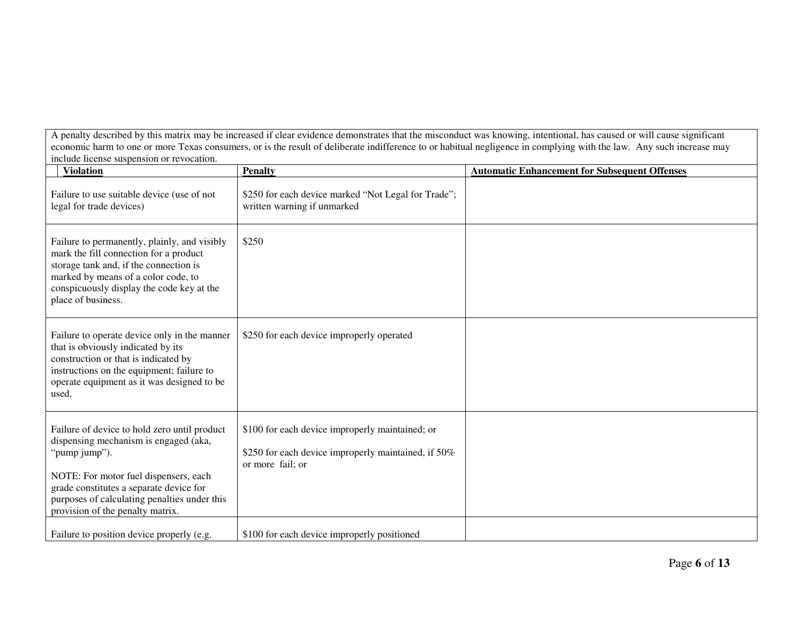A penalty described by this matrix may be increased if clear evidence demonstrates that the misconduct was knowing, intentional, has caused or will cause significant economic harm to one or more Texas consumers, or is the result of deliberate indifference to or habitual negligence in complying with the law. Any such increase may include license suspension or revocation.

| <b>Violation</b>                                                                                                                                                                                                                                                               | <b>Penalty</b>                                                                                                             | <b>Automatic Enhancement for Subsequent Offenses</b> |
|--------------------------------------------------------------------------------------------------------------------------------------------------------------------------------------------------------------------------------------------------------------------------------|----------------------------------------------------------------------------------------------------------------------------|------------------------------------------------------|
| Failure to use suitable device (use of not<br>legal for trade devices)                                                                                                                                                                                                         | \$250 for each device marked "Not Legal for Trade";<br>written warning if unmarked                                         |                                                      |
| Failure to permanently, plainly, and visibly<br>mark the fill connection for a product<br>storage tank and, if the connection is<br>marked by means of a color code, to<br>conspicuously display the code key at the<br>place of business.                                     | \$250                                                                                                                      |                                                      |
| Failure to operate device only in the manner<br>that is obviously indicated by its<br>construction or that is indicated by<br>instructions on the equipment; failure to<br>operate equipment as it was designed to be<br>used.                                                 | \$250 for each device improperly operated                                                                                  |                                                      |
| Failure of device to hold zero until product<br>dispensing mechanism is engaged (aka,<br>"pump jump").<br>NOTE: For motor fuel dispensers, each<br>grade constitutes a separate device for<br>purposes of calculating penalties under this<br>provision of the penalty matrix. | \$100 for each device improperly maintained; or<br>\$250 for each device improperly maintained, if 50%<br>or more fail; or |                                                      |
| Failure to position device properly (e.g.                                                                                                                                                                                                                                      | \$100 for each device improperly positioned                                                                                |                                                      |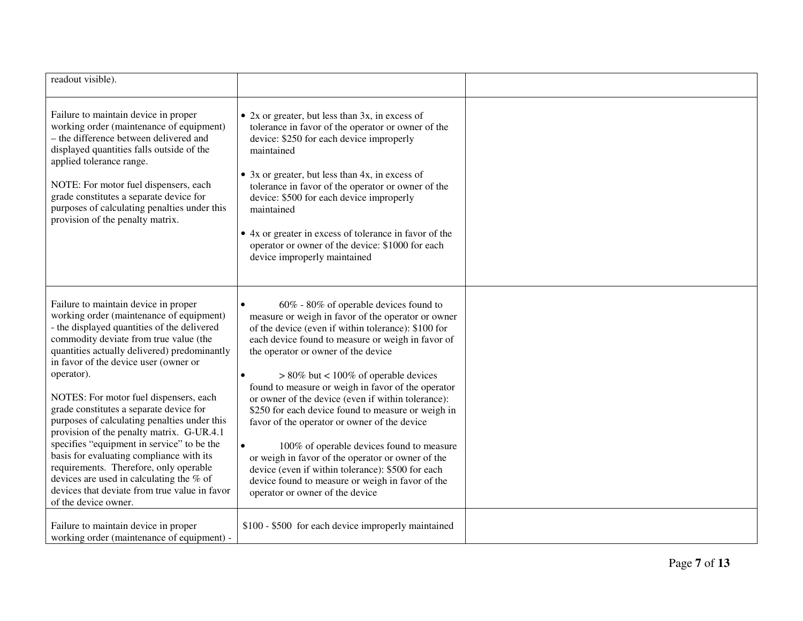| readout visible).                                                                                                                                                                                                                                                                                                                                                                                                                                                                                                                                                                                                                                                                                                           |                                                                                                                                                                                                                                                                                                                                                                                                                                                                                                                                                                                                                                                                                                                                                            |  |
|-----------------------------------------------------------------------------------------------------------------------------------------------------------------------------------------------------------------------------------------------------------------------------------------------------------------------------------------------------------------------------------------------------------------------------------------------------------------------------------------------------------------------------------------------------------------------------------------------------------------------------------------------------------------------------------------------------------------------------|------------------------------------------------------------------------------------------------------------------------------------------------------------------------------------------------------------------------------------------------------------------------------------------------------------------------------------------------------------------------------------------------------------------------------------------------------------------------------------------------------------------------------------------------------------------------------------------------------------------------------------------------------------------------------------------------------------------------------------------------------------|--|
| Failure to maintain device in proper<br>working order (maintenance of equipment)<br>- the difference between delivered and<br>displayed quantities falls outside of the<br>applied tolerance range.<br>NOTE: For motor fuel dispensers, each<br>grade constitutes a separate device for<br>purposes of calculating penalties under this<br>provision of the penalty matrix.                                                                                                                                                                                                                                                                                                                                                 | • $2x$ or greater, but less than $3x$ , in excess of<br>tolerance in favor of the operator or owner of the<br>device: \$250 for each device improperly<br>maintained<br>• 3x or greater, but less than 4x, in excess of<br>tolerance in favor of the operator or owner of the<br>device: \$500 for each device improperly<br>maintained<br>• 4x or greater in excess of tolerance in favor of the<br>operator or owner of the device: \$1000 for each<br>device improperly maintained                                                                                                                                                                                                                                                                      |  |
| Failure to maintain device in proper<br>working order (maintenance of equipment)<br>- the displayed quantities of the delivered<br>commodity deviate from true value (the<br>quantities actually delivered) predominantly<br>in favor of the device user (owner or<br>operator).<br>NOTES: For motor fuel dispensers, each<br>grade constitutes a separate device for<br>purposes of calculating penalties under this<br>provision of the penalty matrix. G-UR.4.1<br>specifies "equipment in service" to be the<br>basis for evaluating compliance with its<br>requirements. Therefore, only operable<br>devices are used in calculating the % of<br>devices that deviate from true value in favor<br>of the device owner. | 60% - 80% of operable devices found to<br>measure or weigh in favor of the operator or owner<br>of the device (even if within tolerance): \$100 for<br>each device found to measure or weigh in favor of<br>the operator or owner of the device<br>$> 80\%$ but < 100% of operable devices<br>found to measure or weigh in favor of the operator<br>or owner of the device (even if within tolerance):<br>\$250 for each device found to measure or weigh in<br>favor of the operator or owner of the device<br>100% of operable devices found to measure<br>or weigh in favor of the operator or owner of the<br>device (even if within tolerance): \$500 for each<br>device found to measure or weigh in favor of the<br>operator or owner of the device |  |
| Failure to maintain device in proper<br>working order (maintenance of equipment) -                                                                                                                                                                                                                                                                                                                                                                                                                                                                                                                                                                                                                                          | \$100 - \$500 for each device improperly maintained                                                                                                                                                                                                                                                                                                                                                                                                                                                                                                                                                                                                                                                                                                        |  |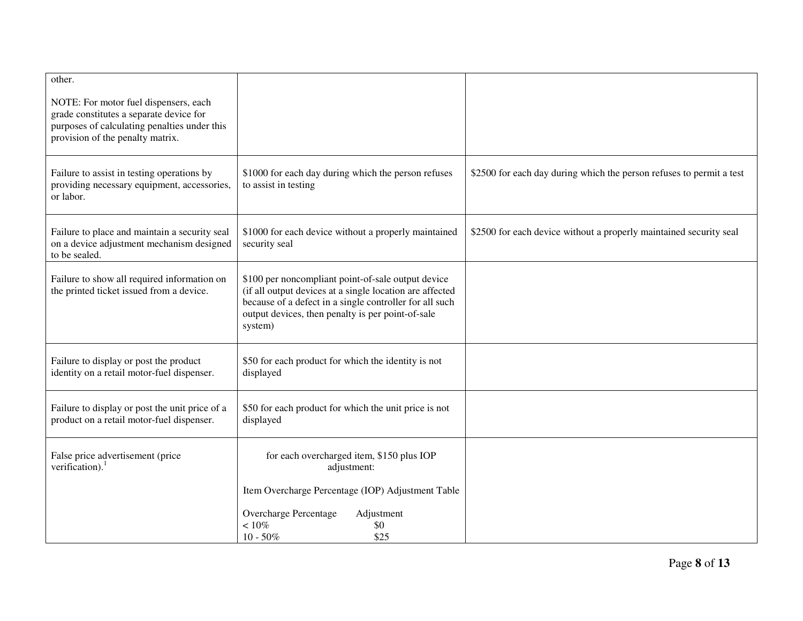| other.                                                                                      |                                                                                                                |                                                                      |
|---------------------------------------------------------------------------------------------|----------------------------------------------------------------------------------------------------------------|----------------------------------------------------------------------|
| NOTE: For motor fuel dispensers, each<br>grade constitutes a separate device for            |                                                                                                                |                                                                      |
| purposes of calculating penalties under this                                                |                                                                                                                |                                                                      |
| provision of the penalty matrix.                                                            |                                                                                                                |                                                                      |
|                                                                                             |                                                                                                                |                                                                      |
| Failure to assist in testing operations by<br>providing necessary equipment, accessories,   | \$1000 for each day during which the person refuses<br>to assist in testing                                    | \$2500 for each day during which the person refuses to permit a test |
| or labor.                                                                                   |                                                                                                                |                                                                      |
|                                                                                             |                                                                                                                |                                                                      |
| Failure to place and maintain a security seal                                               | \$1000 for each device without a properly maintained                                                           | \$2500 for each device without a properly maintained security seal   |
| on a device adjustment mechanism designed<br>to be sealed.                                  | security seal                                                                                                  |                                                                      |
|                                                                                             |                                                                                                                |                                                                      |
| Failure to show all required information on<br>the printed ticket issued from a device.     | \$100 per noncompliant point-of-sale output device<br>(if all output devices at a single location are affected |                                                                      |
|                                                                                             | because of a defect in a single controller for all such                                                        |                                                                      |
|                                                                                             | output devices, then penalty is per point-of-sale<br>system)                                                   |                                                                      |
|                                                                                             |                                                                                                                |                                                                      |
| Failure to display or post the product                                                      | \$50 for each product for which the identity is not                                                            |                                                                      |
| identity on a retail motor-fuel dispenser.                                                  | displayed                                                                                                      |                                                                      |
|                                                                                             |                                                                                                                |                                                                      |
| Failure to display or post the unit price of a<br>product on a retail motor-fuel dispenser. | \$50 for each product for which the unit price is not<br>displayed                                             |                                                                      |
|                                                                                             |                                                                                                                |                                                                      |
| False price advertisement (price                                                            | for each overcharged item, \$150 plus IOP                                                                      |                                                                      |
| verification). $1$                                                                          | adjustment:                                                                                                    |                                                                      |
|                                                                                             | Item Overcharge Percentage (IOP) Adjustment Table                                                              |                                                                      |
|                                                                                             | Overcharge Percentage<br>Adjustment                                                                            |                                                                      |
|                                                                                             | $<10\%$<br>\$0                                                                                                 |                                                                      |
|                                                                                             | $10 - 50\%$<br>\$25                                                                                            |                                                                      |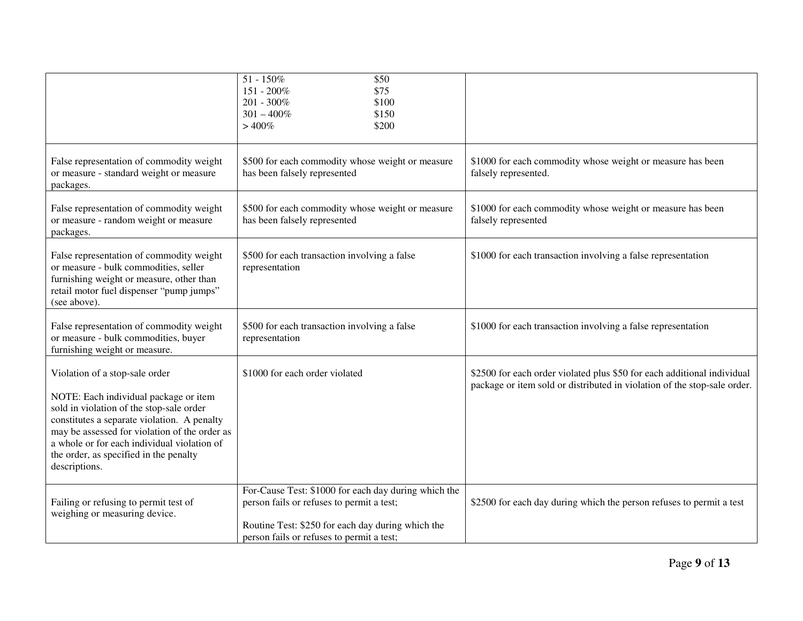|                                                                                                                                                                                                                                                                                                                               | $51 - 150\%$<br>\$50<br>151 - 200%<br>\$75<br>201 - 300%<br>\$100<br>$301 - 400\%$<br>\$150<br>\$200<br>>400%                                                                                       |                                                                                                                                                     |
|-------------------------------------------------------------------------------------------------------------------------------------------------------------------------------------------------------------------------------------------------------------------------------------------------------------------------------|-----------------------------------------------------------------------------------------------------------------------------------------------------------------------------------------------------|-----------------------------------------------------------------------------------------------------------------------------------------------------|
| False representation of commodity weight<br>or measure - standard weight or measure<br>packages.                                                                                                                                                                                                                              | \$500 for each commodity whose weight or measure<br>has been falsely represented                                                                                                                    | \$1000 for each commodity whose weight or measure has been<br>falsely represented.                                                                  |
| False representation of commodity weight<br>or measure - random weight or measure<br>packages.                                                                                                                                                                                                                                | \$500 for each commodity whose weight or measure<br>has been falsely represented                                                                                                                    | \$1000 for each commodity whose weight or measure has been<br>falsely represented                                                                   |
| False representation of commodity weight<br>or measure - bulk commodities, seller<br>furnishing weight or measure, other than<br>retail motor fuel dispenser "pump jumps"<br>(see above).                                                                                                                                     | \$500 for each transaction involving a false<br>representation                                                                                                                                      | \$1000 for each transaction involving a false representation                                                                                        |
| False representation of commodity weight<br>or measure - bulk commodities, buyer<br>furnishing weight or measure.                                                                                                                                                                                                             | \$500 for each transaction involving a false<br>representation                                                                                                                                      | \$1000 for each transaction involving a false representation                                                                                        |
| Violation of a stop-sale order<br>NOTE: Each individual package or item<br>sold in violation of the stop-sale order<br>constitutes a separate violation. A penalty<br>may be assessed for violation of the order as<br>a whole or for each individual violation of<br>the order, as specified in the penalty<br>descriptions. | \$1000 for each order violated                                                                                                                                                                      | \$2500 for each order violated plus \$50 for each additional individual<br>package or item sold or distributed in violation of the stop-sale order. |
| Failing or refusing to permit test of<br>weighing or measuring device.                                                                                                                                                                                                                                                        | For-Cause Test: \$1000 for each day during which the<br>person fails or refuses to permit a test;<br>Routine Test: \$250 for each day during which the<br>person fails or refuses to permit a test; | \$2500 for each day during which the person refuses to permit a test                                                                                |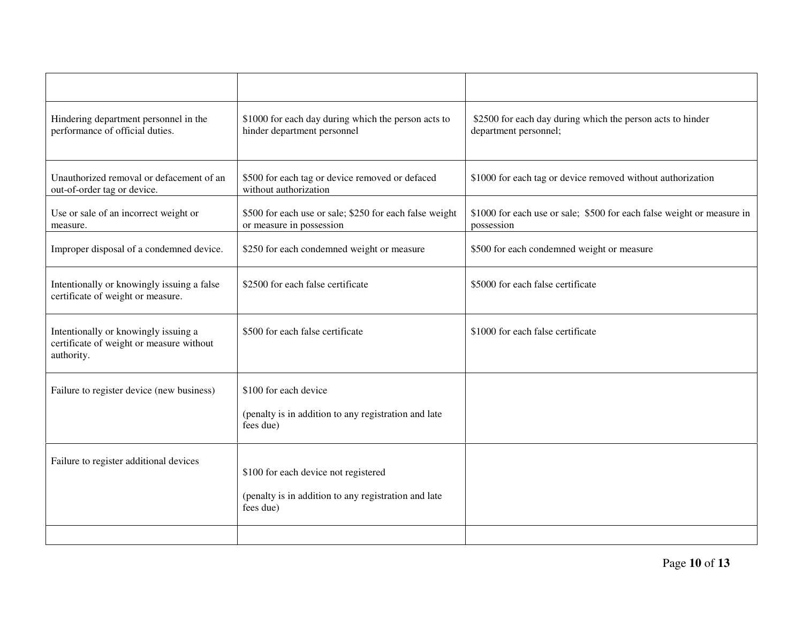| Hindering department personnel in the<br>performance of official duties.                       | \$1000 for each day during which the person acts to<br>hinder department personnel  | \$2500 for each day during which the person acts to hinder<br>department personnel;  |
|------------------------------------------------------------------------------------------------|-------------------------------------------------------------------------------------|--------------------------------------------------------------------------------------|
| Unauthorized removal or defacement of an<br>out-of-order tag or device.                        | \$500 for each tag or device removed or defaced<br>without authorization            | \$1000 for each tag or device removed without authorization                          |
| Use or sale of an incorrect weight or<br>measure.                                              | \$500 for each use or sale; \$250 for each false weight<br>or measure in possession | \$1000 for each use or sale; \$500 for each false weight or measure in<br>possession |
| Improper disposal of a condemned device.                                                       | \$250 for each condemned weight or measure                                          | \$500 for each condemned weight or measure                                           |
| Intentionally or knowingly issuing a false<br>certificate of weight or measure.                | \$2500 for each false certificate                                                   | \$5000 for each false certificate                                                    |
| Intentionally or knowingly issuing a<br>certificate of weight or measure without<br>authority. | \$500 for each false certificate                                                    | \$1000 for each false certificate                                                    |
| Failure to register device (new business)                                                      | \$100 for each device                                                               |                                                                                      |
|                                                                                                | (penalty is in addition to any registration and late<br>fees due)                   |                                                                                      |
| Failure to register additional devices                                                         | \$100 for each device not registered                                                |                                                                                      |
|                                                                                                | (penalty is in addition to any registration and late<br>fees due)                   |                                                                                      |
|                                                                                                |                                                                                     |                                                                                      |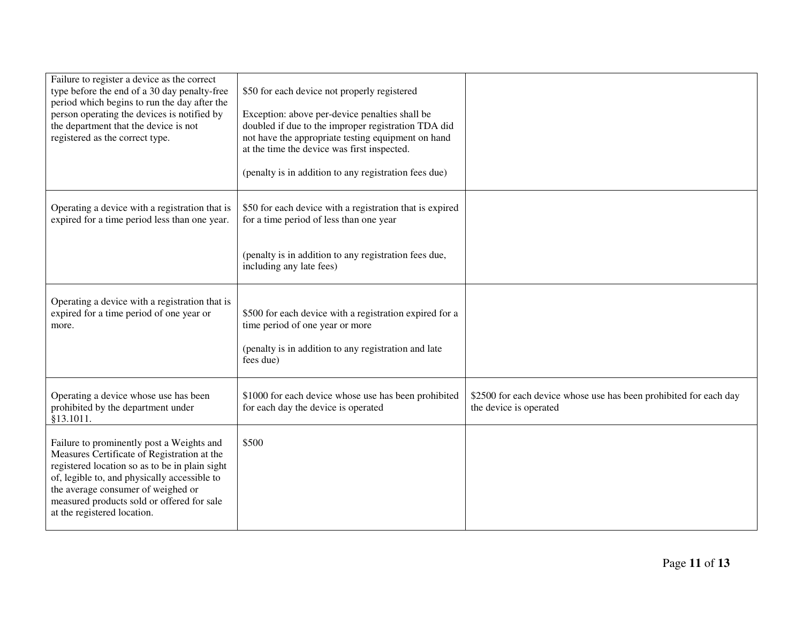| Failure to register a device as the correct<br>type before the end of a 30 day penalty-free<br>period which begins to run the day after the<br>person operating the devices is notified by<br>the department that the device is not<br>registered as the correct type.                                        | \$50 for each device not properly registered<br>Exception: above per-device penalties shall be<br>doubled if due to the improper registration TDA did<br>not have the appropriate testing equipment on hand<br>at the time the device was first inspected.<br>(penalty is in addition to any registration fees due) |                                                                                             |
|---------------------------------------------------------------------------------------------------------------------------------------------------------------------------------------------------------------------------------------------------------------------------------------------------------------|---------------------------------------------------------------------------------------------------------------------------------------------------------------------------------------------------------------------------------------------------------------------------------------------------------------------|---------------------------------------------------------------------------------------------|
| Operating a device with a registration that is<br>expired for a time period less than one year.                                                                                                                                                                                                               | \$50 for each device with a registration that is expired<br>for a time period of less than one year                                                                                                                                                                                                                 |                                                                                             |
|                                                                                                                                                                                                                                                                                                               | (penalty is in addition to any registration fees due,<br>including any late fees)                                                                                                                                                                                                                                   |                                                                                             |
| Operating a device with a registration that is<br>expired for a time period of one year or<br>more.                                                                                                                                                                                                           | \$500 for each device with a registration expired for a<br>time period of one year or more<br>(penalty is in addition to any registration and late<br>fees due)                                                                                                                                                     |                                                                                             |
| Operating a device whose use has been<br>prohibited by the department under<br>§13.1011.                                                                                                                                                                                                                      | \$1000 for each device whose use has been prohibited<br>for each day the device is operated                                                                                                                                                                                                                         | \$2500 for each device whose use has been prohibited for each day<br>the device is operated |
| Failure to prominently post a Weights and<br>Measures Certificate of Registration at the<br>registered location so as to be in plain sight<br>of, legible to, and physically accessible to<br>the average consumer of weighed or<br>measured products sold or offered for sale<br>at the registered location. | \$500                                                                                                                                                                                                                                                                                                               |                                                                                             |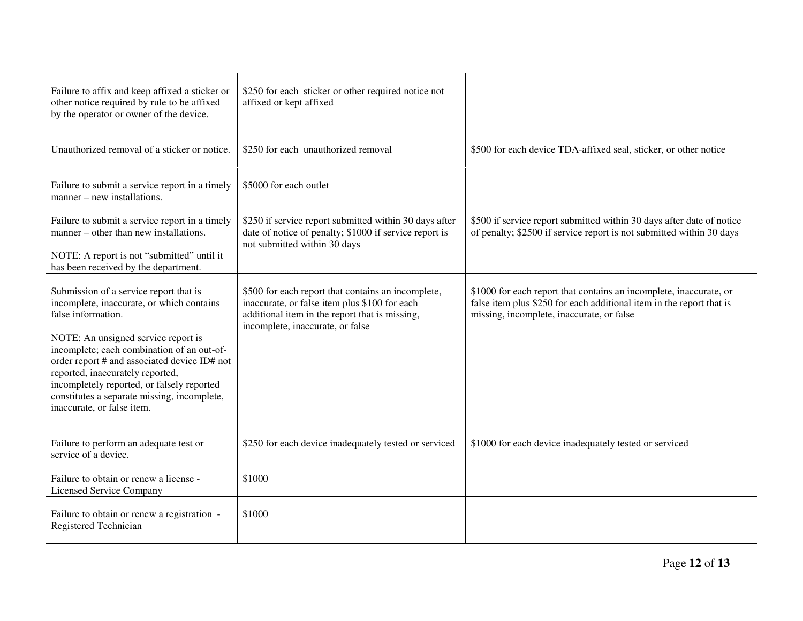| Failure to affix and keep affixed a sticker or<br>other notice required by rule to be affixed<br>by the operator or owner of the device.                                                                                                                                                                                                                                                                      | \$250 for each sticker or other required notice not<br>affixed or kept affixed                                                                                                            |                                                                                                                                                                                         |
|---------------------------------------------------------------------------------------------------------------------------------------------------------------------------------------------------------------------------------------------------------------------------------------------------------------------------------------------------------------------------------------------------------------|-------------------------------------------------------------------------------------------------------------------------------------------------------------------------------------------|-----------------------------------------------------------------------------------------------------------------------------------------------------------------------------------------|
| Unauthorized removal of a sticker or notice.                                                                                                                                                                                                                                                                                                                                                                  | \$250 for each unauthorized removal                                                                                                                                                       | \$500 for each device TDA-affixed seal, sticker, or other notice                                                                                                                        |
| Failure to submit a service report in a timely<br>manner – new installations.                                                                                                                                                                                                                                                                                                                                 | \$5000 for each outlet                                                                                                                                                                    |                                                                                                                                                                                         |
| Failure to submit a service report in a timely<br>manner – other than new installations.<br>NOTE: A report is not "submitted" until it<br>has been received by the department.                                                                                                                                                                                                                                | \$250 if service report submitted within 30 days after<br>date of notice of penalty; \$1000 if service report is<br>not submitted within 30 days                                          | \$500 if service report submitted within 30 days after date of notice<br>of penalty; \$2500 if service report is not submitted within 30 days                                           |
| Submission of a service report that is<br>incomplete, inaccurate, or which contains<br>false information.<br>NOTE: An unsigned service report is<br>incomplete; each combination of an out-of-<br>order report # and associated device ID# not<br>reported, inaccurately reported,<br>incompletely reported, or falsely reported<br>constitutes a separate missing, incomplete,<br>inaccurate, or false item. | \$500 for each report that contains an incomplete,<br>inaccurate, or false item plus \$100 for each<br>additional item in the report that is missing,<br>incomplete, inaccurate, or false | \$1000 for each report that contains an incomplete, inaccurate, or<br>false item plus \$250 for each additional item in the report that is<br>missing, incomplete, inaccurate, or false |
| Failure to perform an adequate test or<br>service of a device.                                                                                                                                                                                                                                                                                                                                                | \$250 for each device inadequately tested or serviced                                                                                                                                     | \$1000 for each device inadequately tested or serviced                                                                                                                                  |
| Failure to obtain or renew a license -<br><b>Licensed Service Company</b>                                                                                                                                                                                                                                                                                                                                     | \$1000                                                                                                                                                                                    |                                                                                                                                                                                         |
| Failure to obtain or renew a registration -<br>Registered Technician                                                                                                                                                                                                                                                                                                                                          | \$1000                                                                                                                                                                                    |                                                                                                                                                                                         |